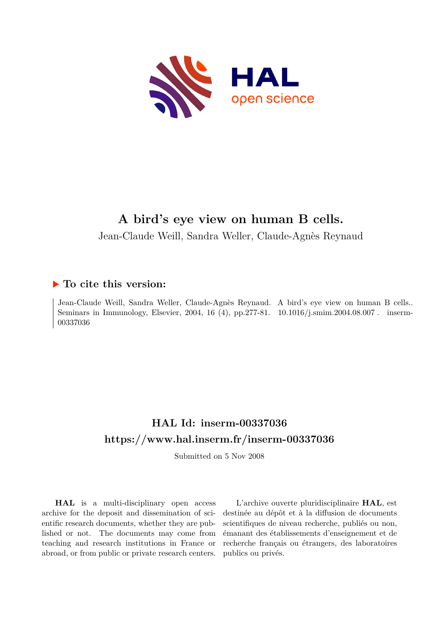

# **A bird's eye view on human B cells.**

Jean-Claude Weill, Sandra Weller, Claude-Agnès Reynaud

## **To cite this version:**

Jean-Claude Weill, Sandra Weller, Claude-Agnès Reynaud. A bird's eye view on human B cells.. Seminars in Immunology, Elsevier, 2004, 16 (4), pp.277-81.  $10.1016/j.smin.2004.08.007$ . inserm-00337036ff

# **HAL Id: inserm-00337036 <https://www.hal.inserm.fr/inserm-00337036>**

Submitted on 5 Nov 2008

**HAL** is a multi-disciplinary open access archive for the deposit and dissemination of scientific research documents, whether they are published or not. The documents may come from teaching and research institutions in France or abroad, or from public or private research centers.

L'archive ouverte pluridisciplinaire **HAL**, est destinée au dépôt et à la diffusion de documents scientifiques de niveau recherche, publiés ou non, émanant des établissements d'enseignement et de recherche français ou étrangers, des laboratoires publics ou privés.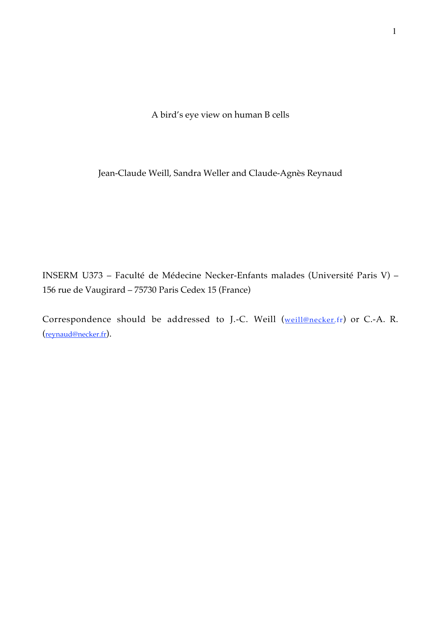A bird's eye view on human B cells

Jean-Claude Weill, Sandra Weller and Claude-Agnès Reynaud

INSERM U373 – Faculté de Médecine Necker-Enfants malades (Université Paris V) – 156 rue de Vaugirard – 75730 Paris Cedex 15 (France)

Correspondence should be addressed to J.-C. Weill (weill@necker.fr) or C.-A. R. (reynaud@necker.fr).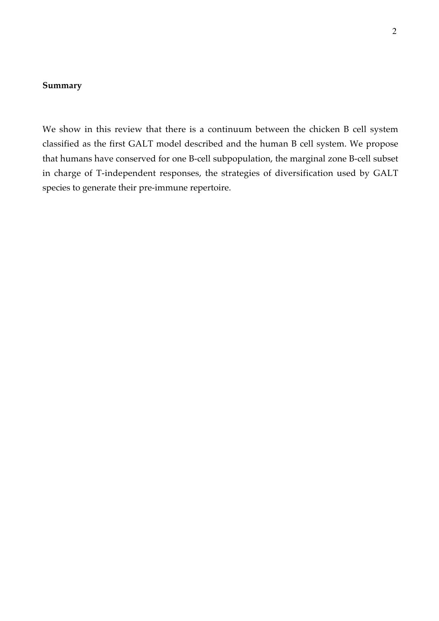## **Summary**

We show in this review that there is a continuum between the chicken B cell system classified as the first GALT model described and the human B cell system. We propose that humans have conserved for one B-cell subpopulation, the marginal zone B-cell subset in charge of T-independent responses, the strategies of diversification used by GALT species to generate their pre-immune repertoire.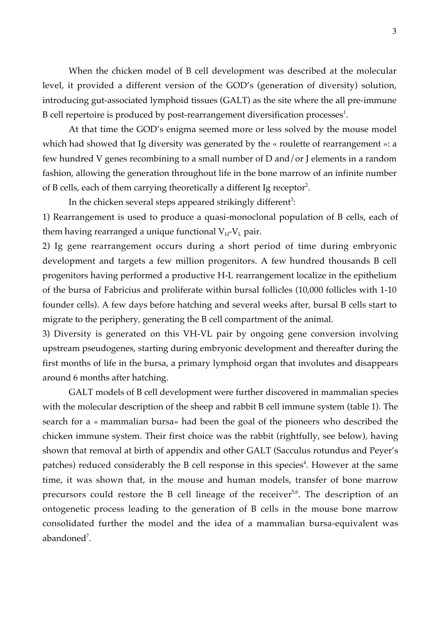When the chicken model of B cell development was described at the molecular level, it provided a different version of the GOD's (generation of diversity) solution, introducing gut-associated lymphoid tissues (GALT) as the site where the all pre-immune B cell repertoire is produced by post-rearrangement diversification processes $^{\text{1}}$ .

At that time the GOD's enigma seemed more or less solved by the mouse model which had showed that Ig diversity was generated by the « roulette of rearrangement »: a few hundred V genes recombining to a small number of D and/or J elements in a random fashion, allowing the generation throughout life in the bone marrow of an infinite number of B cells, each of them carrying theoretically a different Ig receptor<sup>2</sup>.

In the chicken several steps appeared strikingly different<sup>3</sup>:

1) Rearrangement is used to produce a quasi-monoclonal population of B cells, each of them having rearranged a unique functional  $V_H-V_L$  pair.

2) Ig gene rearrangement occurs during a short period of time during embryonic development and targets a few million progenitors. A few hundred thousands B cell progenitors having performed a productive H-L rearrangement localize in the epithelium of the bursa of Fabricius and proliferate within bursal follicles (10,000 follicles with 1-10 founder cells). A few days before hatching and several weeks after, bursal B cells start to migrate to the periphery, generating the B cell compartment of the animal.

3) Diversity is generated on this VH-VL pair by ongoing gene conversion involving upstream pseudogenes, starting during embryonic development and thereafter during the first months of life in the bursa, a primary lymphoid organ that involutes and disappears around 6 months after hatching.

GALT models of B cell development were further discovered in mammalian species with the molecular description of the sheep and rabbit B cell immune system (table 1). The search for a « mammalian bursa» had been the goal of the pioneers who described the chicken immune system. Their first choice was the rabbit (rightfully, see below), having shown that removal at birth of appendix and other GALT (Sacculus rotundus and Peyer's patches) reduced considerably the B cell response in this species<sup>4</sup>. However at the same time, it was shown that, in the mouse and human models, transfer of bone marrow precursors could restore the B cell lineage of the receiver<sup>5,6</sup>. The description of an ontogenetic process leading to the generation of B cells in the mouse bone marrow consolidated further the model and the idea of a mammalian bursa-equivalent was abandoned<sup>7</sup>.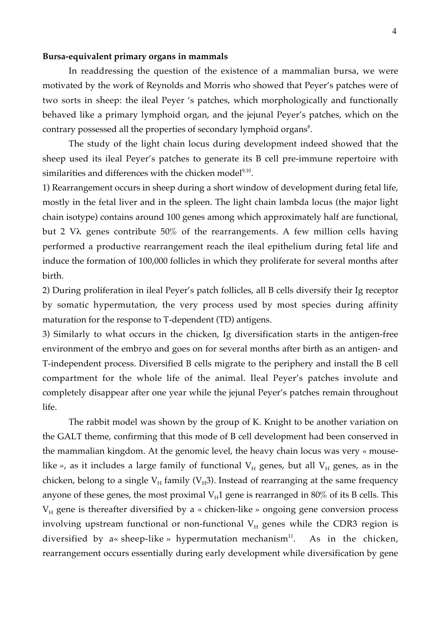#### **Bursa-equivalent primary organs in mammals**

In readdressing the question of the existence of a mammalian bursa, we were motivated by the work of Reynolds and Morris who showed that Peyer's patches were of two sorts in sheep: the ileal Peyer 's patches, which morphologically and functionally behaved like a primary lymphoid organ, and the jejunal Peyer's patches, which on the contrary possessed all the properties of secondary lymphoid organs<sup>8</sup>.

The study of the light chain locus during development indeed showed that the sheep used its ileal Peyer's patches to generate its B cell pre-immune repertoire with similarities and differences with the chicken model<sup>9,10</sup>.

1) Rearrangement occurs in sheep during a short window of development during fetal life, mostly in the fetal liver and in the spleen. The light chain lambda locus (the major light chain isotype) contains around 100 genes among which approximately half are functional, but 2 V $\lambda$  genes contribute 50% of the rearrangements. A few million cells having performed a productive rearrangement reach the ileal epithelium during fetal life and induce the formation of 100,000 follicles in which they proliferate for several months after birth.

2) During proliferation in ileal Peyer's patch follicles, all B cells diversify their Ig receptor by somatic hypermutation, the very process used by most species during affinity maturation for the response to T-dependent (TD) antigens.

3) Similarly to what occurs in the chicken, Ig diversification starts in the antigen-free environment of the embryo and goes on for several months after birth as an antigen- and T-independent process. Diversified B cells migrate to the periphery and install the B cell compartment for the whole life of the animal. Ileal Peyer's patches involute and completely disappear after one year while the jejunal Peyer's patches remain throughout life.

The rabbit model was shown by the group of K. Knight to be another variation on the GALT theme, confirming that this mode of B cell development had been conserved in the mammalian kingdom. At the genomic level, the heavy chain locus was very « mouselike », as it includes a large family of functional  $V_H$  genes, but all  $V_H$  genes, as in the chicken, belong to a single  $V_H$  family ( $V_H$ 3). Instead of rearranging at the same frequency anyone of these genes, the most proximal  $V_H1$  gene is rearranged in 80% of its B cells. This  $V_H$  gene is thereafter diversified by a « chicken-like » ongoing gene conversion process involving upstream functional or non-functional  $V_H$  genes while the CDR3 region is diversified by a« sheep-like » hypermutation mechanism<sup>11</sup>. As in the chicken, rearrangement occurs essentially during early development while diversification by gene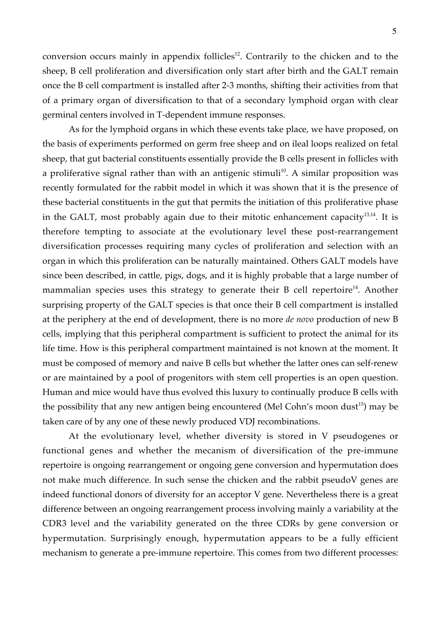conversion occurs mainly in appendix follicles $12$ . Contrarily to the chicken and to the sheep, B cell proliferation and diversification only start after birth and the GALT remain once the B cell compartment is installed after 2-3 months, shifting their activities from that of a primary organ of diversification to that of a secondary lymphoid organ with clear germinal centers involved in T-dependent immune responses.

As for the lymphoid organs in which these events take place, we have proposed, on the basis of experiments performed on germ free sheep and on ileal loops realized on fetal sheep, that gut bacterial constituents essentially provide the B cells present in follicles with a proliferative signal rather than with an antigenic stimuli<sup>10</sup>. A similar proposition was recently formulated for the rabbit model in which it was shown that it is the presence of these bacterial constituents in the gut that permits the initiation of this proliferative phase in the GALT, most probably again due to their mitotic enhancement capacity $^{13,14}$ . It is therefore tempting to associate at the evolutionary level these post-rearrangement diversification processes requiring many cycles of proliferation and selection with an organ in which this proliferation can be naturally maintained. Others GALT models have since been described, in cattle, pigs, dogs, and it is highly probable that a large number of mammalian species uses this strategy to generate their B cell repertoire<sup>14</sup>. Another surprising property of the GALT species is that once their B cell compartment is installed at the periphery at the end of development, there is no more *de novo* production of new B cells, implying that this peripheral compartment is sufficient to protect the animal for its life time. How is this peripheral compartment maintained is not known at the moment. It must be composed of memory and naive B cells but whether the latter ones can self-renew or are maintained by a pool of progenitors with stem cell properties is an open question. Human and mice would have thus evolved this luxury to continually produce B cells with the possibility that any new antigen being encountered (Mel Cohn's moon dust<sup>15</sup>) may be taken care of by any one of these newly produced VDJ recombinations.

At the evolutionary level, whether diversity is stored in V pseudogenes or functional genes and whether the mecanism of diversification of the pre-immune repertoire is ongoing rearrangement or ongoing gene conversion and hypermutation does not make much difference. In such sense the chicken and the rabbit pseudoV genes are indeed functional donors of diversity for an acceptor V gene. Nevertheless there is a great difference between an ongoing rearrangement process involving mainly a variability at the CDR3 level and the variability generated on the three CDRs by gene conversion or hypermutation. Surprisingly enough, hypermutation appears to be a fully efficient mechanism to generate a pre-immune repertoire. This comes from two different processes: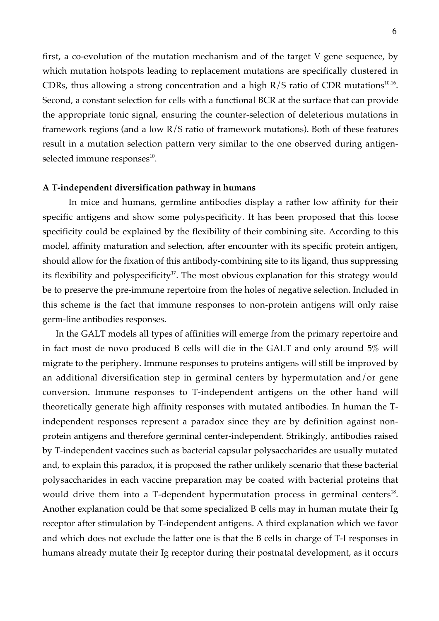first, a co-evolution of the mutation mechanism and of the target V gene sequence, by which mutation hotspots leading to replacement mutations are specifically clustered in CDRs, thus allowing a strong concentration and a high  $R/S$  ratio of CDR mutations<sup>10,16</sup>. Second, a constant selection for cells with a functional BCR at the surface that can provide the appropriate tonic signal, ensuring the counter-selection of deleterious mutations in framework regions (and a low R/S ratio of framework mutations). Both of these features result in a mutation selection pattern very similar to the one observed during antigenselected immune responses $^{\rm 10}.$ 

#### **A T-independent diversification pathway in humans**

In mice and humans, germline antibodies display a rather low affinity for their specific antigens and show some polyspecificity. It has been proposed that this loose specificity could be explained by the flexibility of their combining site. According to this model, affinity maturation and selection, after encounter with its specific protein antigen, should allow for the fixation of this antibody-combining site to its ligand, thus suppressing its flexibility and polyspecificity<sup>17</sup>. The most obvious explanation for this strategy would be to preserve the pre-immune repertoire from the holes of negative selection. Included in this scheme is the fact that immune responses to non-protein antigens will only raise germ-line antibodies responses.

In the GALT models all types of affinities will emerge from the primary repertoire and in fact most de novo produced B cells will die in the GALT and only around 5% will migrate to the periphery. Immune responses to proteins antigens will still be improved by an additional diversification step in germinal centers by hypermutation and/or gene conversion. Immune responses to T-independent antigens on the other hand will theoretically generate high affinity responses with mutated antibodies. In human the Tindependent responses represent a paradox since they are by definition against nonprotein antigens and therefore germinal center-independent. Strikingly, antibodies raised by T-independent vaccines such as bacterial capsular polysaccharides are usually mutated and, to explain this paradox, it is proposed the rather unlikely scenario that these bacterial polysaccharides in each vaccine preparation may be coated with bacterial proteins that would drive them into a T-dependent hypermutation process in germinal centers<sup>18</sup>. Another explanation could be that some specialized B cells may in human mutate their Ig receptor after stimulation by T-independent antigens. A third explanation which we favor and which does not exclude the latter one is that the B cells in charge of T-I responses in humans already mutate their Ig receptor during their postnatal development, as it occurs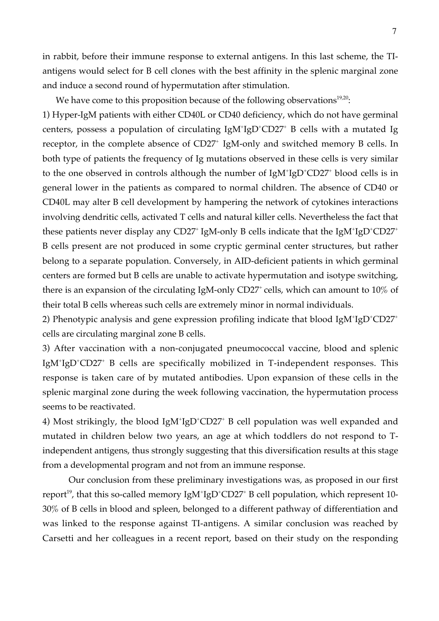in rabbit, before their immune response to external antigens. In this last scheme, the TIantigens would select for B cell clones with the best affinity in the splenic marginal zone and induce a second round of hypermutation after stimulation.

We have come to this proposition because of the following observations<sup>19,20</sup>:

1) Hyper-IgM patients with either CD40L or CD40 deficiency, which do not have germinal centers, possess a population of circulating  $IgM^+IgD^+CD27^+$  B cells with a mutated Ig receptor, in the complete absence of CD27<sup>+</sup> IgM-only and switched memory B cells. In both type of patients the frequency of Ig mutations observed in these cells is very similar to the one observed in controls although the number of IgM<sup>+</sup>IgD<sup>+</sup>CD27<sup>+</sup> blood cells is in general lower in the patients as compared to normal children. The absence of CD40 or CD40L may alter B cell development by hampering the network of cytokines interactions involving dendritic cells, activated T cells and natural killer cells. Nevertheless the fact that these patients never display any CD27<sup>+</sup> IgM-only B cells indicate that the IgM<sup>+</sup>IgD<sup>+</sup>CD27<sup>+</sup> B cells present are not produced in some cryptic germinal center structures, but rather belong to a separate population. Conversely, in AID-deficient patients in which germinal centers are formed but B cells are unable to activate hypermutation and isotype switching, there is an expansion of the circulating IgM-only  $CD27^+$  cells, which can amount to  $10\%$  of their total B cells whereas such cells are extremely minor in normal individuals.

2) Phenotypic analysis and gene expression profiling indicate that blood  $\text{IgM}^{\text{+}}\text{IgD}^{\text{+}}\text{CD27}^{\text{+}}$ cells are circulating marginal zone B cells.

3) After vaccination with a non-conjugated pneumococcal vaccine, blood and splenic IgM<sup>+</sup>IgD<sup>+</sup>CD27<sup>+</sup> B cells are specifically mobilized in T-independent responses. This response is taken care of by mutated antibodies. Upon expansion of these cells in the splenic marginal zone during the week following vaccination, the hypermutation process seems to be reactivated.

4) Most strikingly, the blood IgM<sup>+</sup>IgD<sup>+</sup>CD27<sup>+</sup> B cell population was well expanded and mutated in children below two years, an age at which toddlers do not respond to Tindependent antigens, thus strongly suggesting that this diversification results at this stage from a developmental program and not from an immune response.

Our conclusion from these preliminary investigations was, as proposed in our first report<sup>19</sup>, that this so-called memory IgM<sup>+</sup>IgD<sup>+</sup>CD27<sup>+</sup> B cell population, which represent 10-30% of B cells in blood and spleen, belonged to a different pathway of differentiation and was linked to the response against TI-antigens. A similar conclusion was reached by Carsetti and her colleagues in a recent report, based on their study on the responding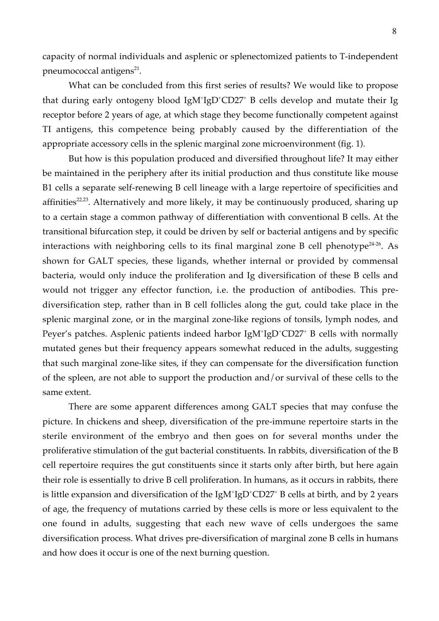capacity of normal individuals and asplenic or splenectomized patients to T-independent pneumococcal antigens $^{21}$ .

What can be concluded from this first series of results? We would like to propose that during early ontogeny blood IgM<sup>+</sup>IgD<sup>+</sup>CD27<sup>+</sup> B cells develop and mutate their Ig receptor before 2 years of age, at which stage they become functionally competent against TI antigens, this competence being probably caused by the differentiation of the appropriate accessory cells in the splenic marginal zone microenvironment (fig. 1).

But how is this population produced and diversified throughout life? It may either be maintained in the periphery after its initial production and thus constitute like mouse B1 cells a separate self-renewing B cell lineage with a large repertoire of specificities and affinities<sup>22,23</sup>. Alternatively and more likely, it may be continuously produced, sharing up to a certain stage a common pathway of differentiation with conventional B cells. At the transitional bifurcation step, it could be driven by self or bacterial antigens and by specific interactions with neighboring cells to its final marginal zone B cell phenotype<sup>24-26</sup>. As shown for GALT species, these ligands, whether internal or provided by commensal bacteria, would only induce the proliferation and Ig diversification of these B cells and would not trigger any effector function, i.e. the production of antibodies. This prediversification step, rather than in B cell follicles along the gut, could take place in the splenic marginal zone, or in the marginal zone-like regions of tonsils, lymph nodes, and Peyer's patches. Asplenic patients indeed harbor IgM+IgD+CD27+ B cells with normally mutated genes but their frequency appears somewhat reduced in the adults, suggesting that such marginal zone-like sites, if they can compensate for the diversification function of the spleen, are not able to support the production and/or survival of these cells to the same extent.

There are some apparent differences among GALT species that may confuse the picture. In chickens and sheep, diversification of the pre-immune repertoire starts in the sterile environment of the embryo and then goes on for several months under the proliferative stimulation of the gut bacterial constituents. In rabbits, diversification of the B cell repertoire requires the gut constituents since it starts only after birth, but here again their role is essentially to drive B cell proliferation. In humans, as it occurs in rabbits, there is little expansion and diversification of the  $\text{IgM}^+\text{IgD}^+\text{CD27}^+$  B cells at birth, and by 2 years of age, the frequency of mutations carried by these cells is more or less equivalent to the one found in adults, suggesting that each new wave of cells undergoes the same diversification process. What drives pre-diversification of marginal zone B cells in humans and how does it occur is one of the next burning question.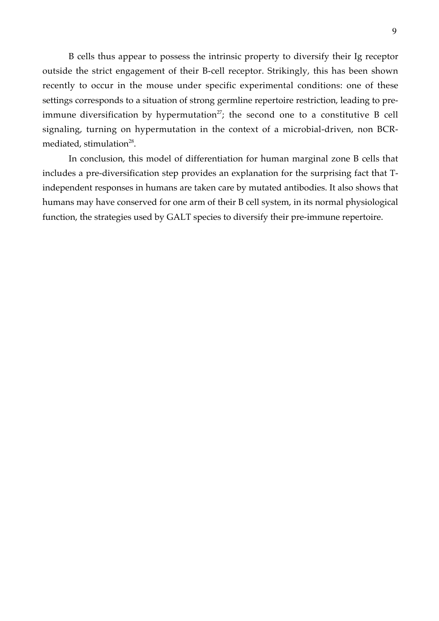B cells thus appear to possess the intrinsic property to diversify their Ig receptor outside the strict engagement of their B-cell receptor. Strikingly, this has been shown recently to occur in the mouse under specific experimental conditions: one of these settings corresponds to a situation of strong germline repertoire restriction, leading to preimmune diversification by hypermutation<sup>27</sup>; the second one to a constitutive B cell signaling, turning on hypermutation in the context of a microbial-driven, non BCRmediated, stimulation<sup>28</sup>.

In conclusion, this model of differentiation for human marginal zone B cells that includes a pre-diversification step provides an explanation for the surprising fact that Tindependent responses in humans are taken care by mutated antibodies. It also shows that humans may have conserved for one arm of their B cell system, in its normal physiological function, the strategies used by GALT species to diversify their pre-immune repertoire.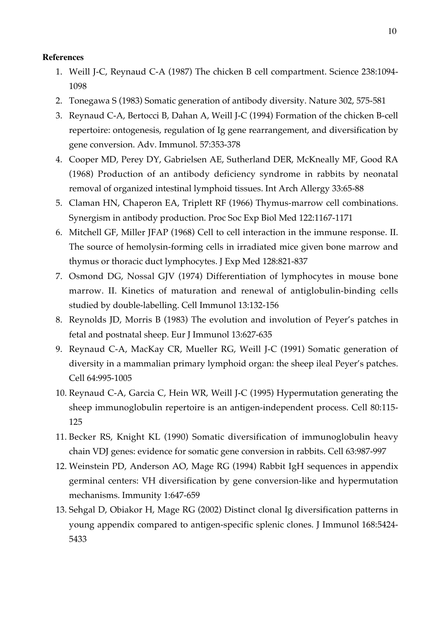### **References**

- 1. Weill J-C, Reynaud C-A (1987) The chicken B cell compartment. Science 238:1094- 1098
- 2. Tonegawa S (1983) Somatic generation of antibody diversity. Nature 302, 575-581
- 3. Reynaud C-A, Bertocci B, Dahan A, Weill J-C (1994) Formation of the chicken B-cell repertoire: ontogenesis, regulation of Ig gene rearrangement, and diversification by gene conversion. Adv. Immunol. 57:353-378
- 4. Cooper MD, Perey DY, Gabrielsen AE, Sutherland DER, McKneally MF, Good RA (1968) Production of an antibody deficiency syndrome in rabbits by neonatal removal of organized intestinal lymphoid tissues. Int Arch Allergy 33:65-88
- 5. Claman HN, Chaperon EA, Triplett RF (1966) Thymus-marrow cell combinations. Synergism in antibody production. Proc Soc Exp Biol Med 122:1167-1171
- 6. Mitchell GF, Miller JFAP (1968) Cell to cell interaction in the immune response. II. The source of hemolysin-forming cells in irradiated mice given bone marrow and thymus or thoracic duct lymphocytes. J Exp Med 128:821-837
- 7. Osmond DG, Nossal GJV (1974) Differentiation of lymphocytes in mouse bone marrow. II. Kinetics of maturation and renewal of antiglobulin-binding cells studied by double-labelling. Cell Immunol 13:132-156
- 8. Reynolds JD, Morris B (1983) The evolution and involution of Peyer's patches in fetal and postnatal sheep. Eur J Immunol 13:627-635
- 9. Reynaud C-A, MacKay CR, Mueller RG, Weill J-C (1991) Somatic generation of diversity in a mammalian primary lymphoid organ: the sheep ileal Peyer's patches. Cell 64:995-1005
- 10. Reynaud C-A, Garcia C, Hein WR, Weill J-C (1995) Hypermutation generating the sheep immunoglobulin repertoire is an antigen-independent process. Cell 80:115- 125
- 11. Becker RS, Knight KL (1990) Somatic diversification of immunoglobulin heavy chain VDJ genes: evidence for somatic gene conversion in rabbits. Cell 63:987-997
- 12. Weinstein PD, Anderson AO, Mage RG (1994) Rabbit IgH sequences in appendix germinal centers: VH diversification by gene conversion-like and hypermutation mechanisms. Immunity 1:647-659
- 13. Sehgal D, Obiakor H, Mage RG (2002) Distinct clonal Ig diversification patterns in young appendix compared to antigen-specific splenic clones. J Immunol 168:5424- 5433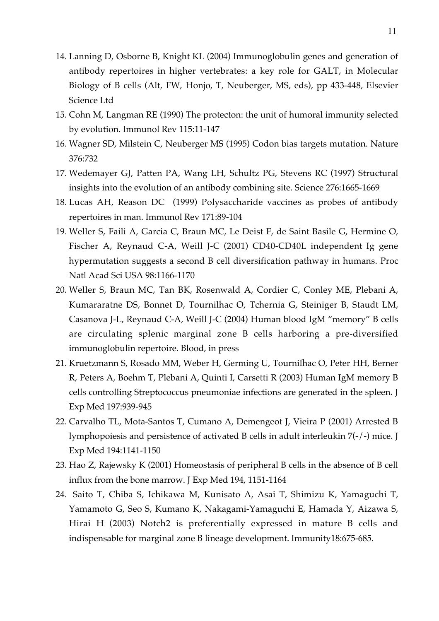- 14. Lanning D, Osborne B, Knight KL (2004) Immunoglobulin genes and generation of antibody repertoires in higher vertebrates: a key role for GALT, in Molecular Biology of B cells (Alt, FW, Honjo, T, Neuberger, MS, eds), pp 433-448, Elsevier Science Ltd
- 15. Cohn M, Langman RE (1990) The protecton: the unit of humoral immunity selected by evolution. Immunol Rev 115:11-147
- 16. Wagner SD, Milstein C, Neuberger MS (1995) Codon bias targets mutation. Nature 376:732
- 17. Wedemayer GJ, Patten PA, Wang LH, Schultz PG, Stevens RC (1997) Structural insights into the evolution of an antibody combining site. Science 276:1665-1669
- 18. Lucas AH, Reason DC (1999) Polysaccharide vaccines as probes of antibody repertoires in man. Immunol Rev 171:89-104
- 19. Weller S, Faili A, Garcia C, Braun MC, Le Deist F, de Saint Basile G, Hermine O, Fischer A, Reynaud C-A, Weill J-C (2001) CD40-CD40L independent Ig gene hypermutation suggests a second B cell diversification pathway in humans. Proc Natl Acad Sci USA 98:1166-1170
- 20. Weller S, Braun MC, Tan BK, Rosenwald A, Cordier C, Conley ME, Plebani A, Kumararatne DS, Bonnet D, Tournilhac O, Tchernia G, Steiniger B, Staudt LM, Casanova J-L, Reynaud C-A, Weill J-C (2004) Human blood IgM "memory" B cells are circulating splenic marginal zone B cells harboring a pre-diversified immunoglobulin repertoire. Blood, in press
- 21. Kruetzmann S, Rosado MM, Weber H, Germing U, Tournilhac O, Peter HH, Berner R, Peters A, Boehm T, Plebani A, Quinti I, Carsetti R (2003) Human IgM memory B cells controlling Streptococcus pneumoniae infections are generated in the spleen. J Exp Med 197:939-945
- 22. Carvalho TL, Mota-Santos T, Cumano A, Demengeot J, Vieira P (2001) Arrested B lymphopoiesis and persistence of activated B cells in adult interleukin 7(-/-) mice. J Exp Med 194:1141-1150
- 23. Hao Z, Rajewsky K (2001) Homeostasis of peripheral B cells in the absence of B cell influx from the bone marrow. J Exp Med 194, 1151-1164
- 24. Saito T, Chiba S, Ichikawa M, Kunisato A, Asai T, Shimizu K, Yamaguchi T, Yamamoto G, Seo S, Kumano K, Nakagami-Yamaguchi E, Hamada Y, Aizawa S, Hirai H (2003) Notch2 is preferentially expressed in mature B cells and indispensable for marginal zone B lineage development. Immunity18:675-685.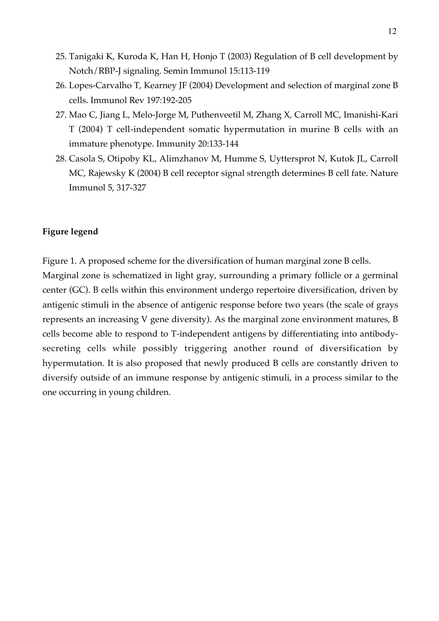- 25. Tanigaki K, Kuroda K, Han H, Honjo T (2003) Regulation of B cell development by Notch/RBP-J signaling. Semin Immunol 15:113-119
- 26. Lopes-Carvalho T, Kearney JF (2004) Development and selection of marginal zone B cells. Immunol Rev 197:192-205
- 27. Mao C, Jiang L, Melo-Jorge M, Puthenveetil M, Zhang X, Carroll MC, Imanishi-Kari T (2004) T cell-independent somatic hypermutation in murine B cells with an immature phenotype. Immunity 20:133-144
- 28. Casola S, Otipoby KL, Alimzhanov M, Humme S, Uyttersprot N, Kutok JL, Carroll MC, Rajewsky K (2004) B cell receptor signal strength determines B cell fate. Nature Immunol 5, 317-327

### **Figure legend**

one occurring in young children.

Figure 1. A proposed scheme for the diversification of human marginal zone B cells. Marginal zone is schematized in light gray, surrounding a primary follicle or a germinal center (GC). B cells within this environment undergo repertoire diversification, driven by antigenic stimuli in the absence of antigenic response before two years (the scale of grays represents an increasing V gene diversity). As the marginal zone environment matures, B cells become able to respond to T-independent antigens by differentiating into antibodysecreting cells while possibly triggering another round of diversification by hypermutation. It is also proposed that newly produced B cells are constantly driven to diversify outside of an immune response by antigenic stimuli, in a process similar to the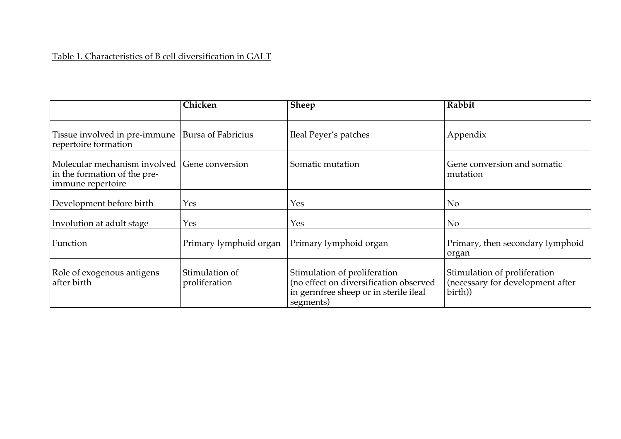# Table 1. Characteristics of B cell diversification in GALT

|                                                                                   | Chicken                         | <b>Sheep</b>                                                                                                                 | Rabbit                                                                      |
|-----------------------------------------------------------------------------------|---------------------------------|------------------------------------------------------------------------------------------------------------------------------|-----------------------------------------------------------------------------|
| Tissue involved in pre-immune<br>repertoire formation                             | <b>Bursa of Fabricius</b>       | Ileal Peyer's patches                                                                                                        | Appendix                                                                    |
| Molecular mechanism involved<br>in the formation of the pre-<br>immune repertoire | Gene conversion                 | Somatic mutation                                                                                                             | Gene conversion and somatic<br>mutation                                     |
| Development before birth                                                          | Yes                             | Yes                                                                                                                          | N <sub>o</sub>                                                              |
| Involution at adult stage                                                         | Yes                             | Yes                                                                                                                          | N <sub>o</sub>                                                              |
| Function                                                                          | Primary lymphoid organ          | Primary lymphoid organ                                                                                                       | Primary, then secondary lymphoid<br>organ                                   |
| Role of exogenous antigens<br>after birth                                         | Stimulation of<br>proliferation | Stimulation of proliferation<br>(no effect on diversification observed<br>in germfree sheep or in sterile ileal<br>segments) | Stimulation of proliferation<br>(necessary for development after<br>birth)) |